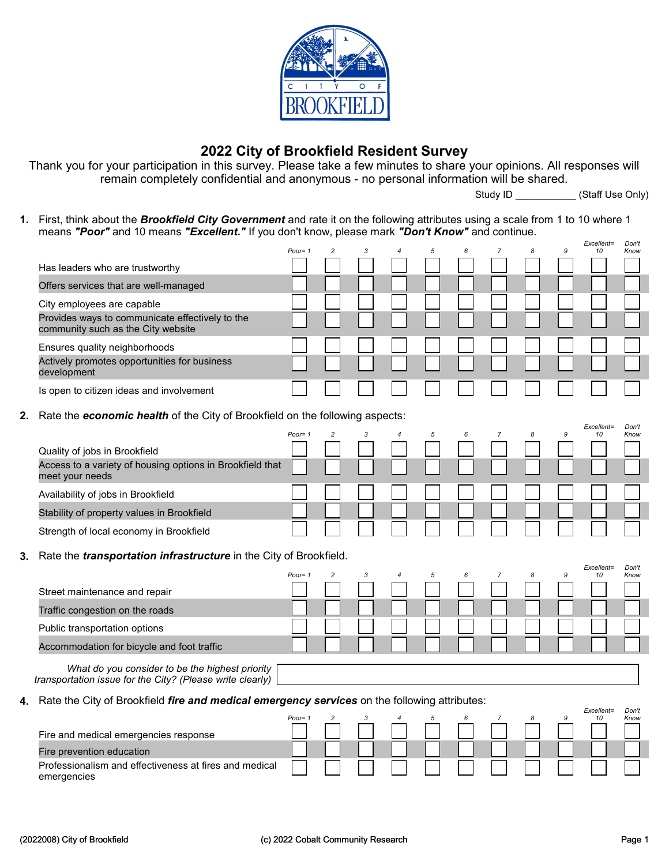

## 2022 City of Brookfield Resident Survey

Thank you for your participation in this survey. Please take a few minutes to share your opinions. All responses will remain completely confidential and anonymous - no personal information will be shared.

Study ID \_\_\_\_\_\_\_\_\_\_\_\_ (Staff Use Only)

1. First, think about the **Brookfield City Government** and rate it on the following attributes using a scale from 1 to 10 where 1 means "Poor" and 10 means "Excellent." If you don't know, please mark "Don't Know" and continue.  $E = \frac{1}{2}$  $D = 0$ 

|    |                                                                                                              | Poor= 1   | $\overline{c}$ | 3 | 5 | 6 | 7 | 8 | 9 | <i><b>Excellent=</b></i><br>10 | <b>DON</b><br>Know |
|----|--------------------------------------------------------------------------------------------------------------|-----------|----------------|---|---|---|---|---|---|--------------------------------|--------------------|
|    | Has leaders who are trustworthy                                                                              |           |                |   |   |   |   |   |   |                                |                    |
|    | Offers services that are well-managed                                                                        |           |                |   |   |   |   |   |   |                                |                    |
|    | City employees are capable                                                                                   |           |                |   |   |   |   |   |   |                                |                    |
|    | Provides ways to communicate effectively to the<br>community such as the City website                        |           |                |   |   |   |   |   |   |                                |                    |
|    | Ensures quality neighborhoods                                                                                |           |                |   |   |   |   |   |   |                                |                    |
|    | Actively promotes opportunities for business<br>development                                                  |           |                |   |   |   |   |   |   |                                |                    |
|    | Is open to citizen ideas and involvement                                                                     |           |                |   |   |   |   |   |   |                                |                    |
| 2. | Rate the economic health of the City of Brookfield on the following aspects:                                 |           |                |   |   |   |   |   |   |                                |                    |
|    |                                                                                                              | Poor= 1   | $\overline{c}$ | 3 |   |   |   | 8 | 9 | Excellent=<br>10               | Don't<br>Know      |
|    | Quality of jobs in Brookfield                                                                                |           |                |   |   |   |   |   |   |                                |                    |
|    | Access to a variety of housing options in Brookfield that<br>meet your needs                                 |           |                |   |   |   |   |   |   |                                |                    |
|    | Availability of jobs in Brookfield                                                                           |           |                |   |   |   |   |   |   |                                |                    |
|    | Stability of property values in Brookfield                                                                   |           |                |   |   |   |   |   |   |                                |                    |
|    | Strength of local economy in Brookfield                                                                      |           |                |   |   |   |   |   |   |                                |                    |
| 3. | Rate the <i>transportation infrastructure</i> in the City of Brookfield.                                     |           |                |   |   |   |   |   |   |                                |                    |
|    |                                                                                                              | Poor= $1$ | $\overline{c}$ | 3 | 5 | 6 | 7 | 8 | 9 | Excellent=<br>10               | Don't<br>Know      |
|    | Street maintenance and repair                                                                                |           |                |   |   |   |   |   |   |                                |                    |
|    | Traffic congestion on the roads                                                                              |           |                |   |   |   |   |   |   |                                |                    |
|    | Public transportation options                                                                                |           |                |   |   |   |   |   |   |                                |                    |
|    | Accommodation for bicycle and foot traffic                                                                   |           |                |   |   |   |   |   |   |                                |                    |
|    | What do you consider to be the highest priority<br>transportation issue for the City? (Please write clearly) |           |                |   |   |   |   |   |   |                                |                    |
|    | 4. Rate the City of Brookfield <i>fire and medical emergency services</i> on the following attributes:       |           |                |   |   |   |   |   |   |                                |                    |
|    |                                                                                                              | Poor= 1   |                |   |   |   |   |   | 9 | Excellent=<br>10               | Don't<br>Know      |
|    | Fire and medical emergencies response                                                                        |           |                |   |   |   |   |   |   |                                |                    |
|    | Fire prevention education                                                                                    |           |                |   |   |   |   |   |   |                                |                    |
|    | Professionalism and effectiveness at fires and medical<br>emergencies                                        |           |                |   |   |   |   |   |   |                                |                    |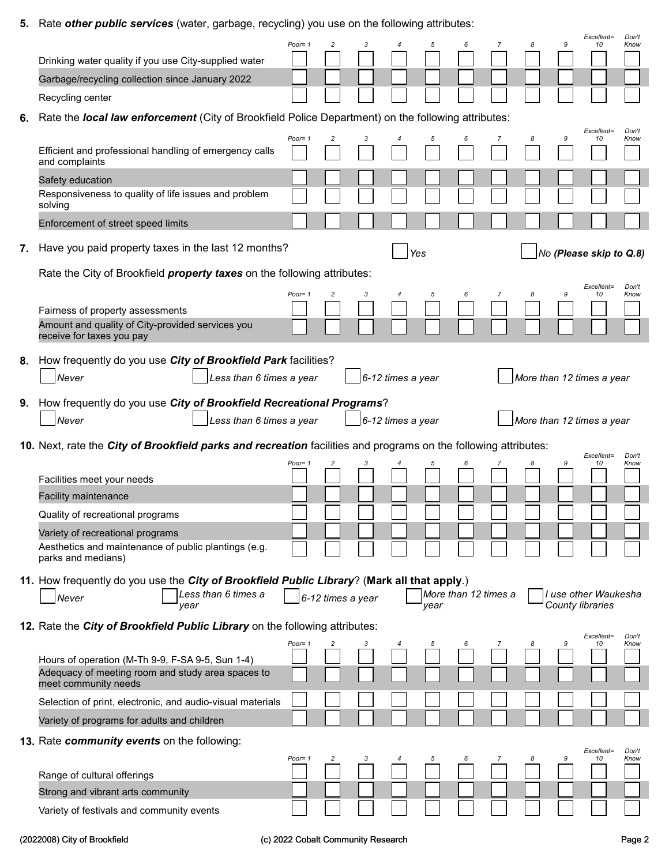5. Rate other public services (water, garbage, recycling) you use on the following attributes:

|    |                                                                                                                               | Poor=1    |                   |   |                   |      |                      |   |   | 9 | Excellent=<br>10                         | Don't<br>Know |
|----|-------------------------------------------------------------------------------------------------------------------------------|-----------|-------------------|---|-------------------|------|----------------------|---|---|---|------------------------------------------|---------------|
|    | Drinking water quality if you use City-supplied water                                                                         |           |                   |   |                   |      |                      |   |   |   |                                          |               |
|    | Garbage/recycling collection since January 2022                                                                               |           |                   |   |                   |      |                      |   |   |   |                                          |               |
|    | Recycling center                                                                                                              |           |                   |   |                   |      |                      |   |   |   |                                          |               |
| 6. | Rate the local law enforcement (City of Brookfield Police Department) on the following attributes:                            |           |                   |   |                   |      |                      |   |   |   |                                          |               |
|    | Efficient and professional handling of emergency calls<br>and complaints                                                      | Poor= $1$ |                   | 3 |                   | 5    |                      |   | 8 | 9 | Excellent=<br>10                         | Don't<br>Know |
|    | Safety education<br>Responsiveness to quality of life issues and problem<br>solving                                           |           |                   |   |                   |      |                      |   |   |   |                                          |               |
|    | Enforcement of street speed limits                                                                                            |           |                   |   |                   |      |                      |   |   |   |                                          |               |
| 7. | Have you paid property taxes in the last 12 months?                                                                           |           |                   |   |                   | Yes  |                      |   |   |   | No (Please skip to Q.8)                  |               |
|    | Rate the City of Brookfield <i>property taxes</i> on the following attributes:                                                |           |                   |   |                   |      |                      |   |   |   |                                          |               |
|    | Fairness of property assessments                                                                                              | Poor= $1$ |                   | 3 |                   | 5    | 6                    | 7 | 8 | 9 | Excellent=<br>10                         | Don't<br>Know |
|    | Amount and quality of City-provided services you<br>receive for taxes you pay                                                 |           |                   |   |                   |      |                      |   |   |   |                                          |               |
|    | 8. How frequently do you use City of Brookfield Park facilities?<br>Never<br>Less than 6 times a year                         |           |                   |   | 6-12 times a year |      |                      |   |   |   | More than 12 times a year                |               |
|    |                                                                                                                               |           |                   |   |                   |      |                      |   |   |   |                                          |               |
| 9. | How frequently do you use City of Brookfield Recreational Programs?<br>Never<br>Less than 6 times a year                      |           |                   |   | 6-12 times a year |      |                      |   |   |   | More than 12 times a year                |               |
|    | 10. Next, rate the City of Brookfield parks and recreation facilities and programs on the following attributes:               |           |                   |   |                   |      |                      |   |   |   |                                          |               |
|    |                                                                                                                               | Poor=1    |                   |   |                   |      |                      |   |   |   | Excellent=<br>10                         | Don't<br>Know |
|    | Facilities meet your needs                                                                                                    |           |                   |   |                   |      |                      |   |   |   |                                          |               |
|    | <b>Facility maintenance</b>                                                                                                   |           |                   |   |                   |      |                      |   |   |   |                                          |               |
|    | Quality of recreational programs                                                                                              |           |                   |   |                   |      |                      |   |   |   |                                          |               |
|    | Variety of recreational programs                                                                                              |           |                   |   |                   |      |                      |   |   |   |                                          |               |
|    | Aesthetics and maintenance of public plantings (e.g.<br>parks and medians)                                                    |           |                   |   |                   |      |                      |   |   |   |                                          |               |
|    | 11. How frequently do you use the <i>City of Brookfield Public Library</i> ? (Mark all that apply.)                           |           |                   |   |                   |      |                      |   |   |   |                                          |               |
|    | Less than 6 times a<br>Never<br>year                                                                                          |           | 6-12 times a year |   |                   | year | More than 12 times a |   |   |   | I use other Waukesha<br>County libraries |               |
|    | 12. Rate the City of Brookfield Public Library on the following attributes:                                                   |           |                   |   |                   |      |                      |   |   |   | Excellent=                               | Don't         |
|    |                                                                                                                               | Poor= $1$ | 2                 | з |                   |      |                      |   | 8 | 9 | 10                                       | Know          |
|    | Hours of operation (M-Th 9-9, F-SA 9-5, Sun 1-4)<br>Adequacy of meeting room and study area spaces to<br>meet community needs |           |                   |   |                   |      |                      |   |   |   |                                          |               |
|    | Selection of print, electronic, and audio-visual materials                                                                    |           |                   |   |                   |      |                      |   |   |   |                                          |               |
|    | Variety of programs for adults and children                                                                                   |           |                   |   |                   |      |                      |   |   |   |                                          |               |
|    | 13. Rate community events on the following:                                                                                   |           |                   |   |                   |      |                      |   |   |   |                                          |               |
|    |                                                                                                                               |           |                   |   |                   |      |                      |   |   |   |                                          | Don't         |
|    |                                                                                                                               | Poor= $1$ | 2                 |   |                   |      |                      |   | 8 | 9 | Excellent=<br>10                         | Know          |
|    | Range of cultural offerings                                                                                                   |           |                   |   |                   |      |                      |   |   |   |                                          |               |
|    | Strong and vibrant arts community                                                                                             |           |                   |   |                   |      |                      |   |   |   |                                          |               |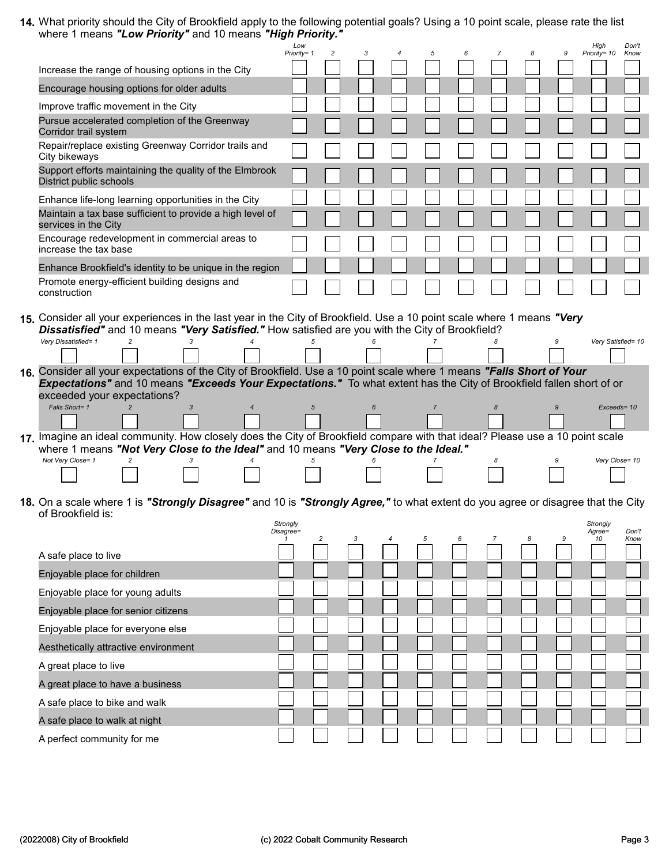14. What priority should the City of Brookfield apply to the following potential goals? Using a 10 point scale, please rate the list where 1 means "Low Priority" and 10 means "High Priority."

|                                                                                                                                                                                                                                                                                                                                                                                                                                                                                                                      | Low<br>Priority= 1    | $\overline{c}$ | 3 | 5              | 6 |   | 8 | 9 | High<br>Priority= 10 | Don't<br>Know      |
|----------------------------------------------------------------------------------------------------------------------------------------------------------------------------------------------------------------------------------------------------------------------------------------------------------------------------------------------------------------------------------------------------------------------------------------------------------------------------------------------------------------------|-----------------------|----------------|---|----------------|---|---|---|---|----------------------|--------------------|
| Increase the range of housing options in the City                                                                                                                                                                                                                                                                                                                                                                                                                                                                    |                       |                |   |                |   |   |   |   |                      |                    |
| Encourage housing options for older adults                                                                                                                                                                                                                                                                                                                                                                                                                                                                           |                       |                |   |                |   |   |   |   |                      |                    |
| Improve traffic movement in the City                                                                                                                                                                                                                                                                                                                                                                                                                                                                                 |                       |                |   |                |   |   |   |   |                      |                    |
| Pursue accelerated completion of the Greenway<br>Corridor trail system                                                                                                                                                                                                                                                                                                                                                                                                                                               |                       |                |   |                |   |   |   |   |                      |                    |
| Repair/replace existing Greenway Corridor trails and<br>City bikeways                                                                                                                                                                                                                                                                                                                                                                                                                                                |                       |                |   |                |   |   |   |   |                      |                    |
| Support efforts maintaining the quality of the Elmbrook<br>District public schools                                                                                                                                                                                                                                                                                                                                                                                                                                   |                       |                |   |                |   |   |   |   |                      |                    |
| Enhance life-long learning opportunities in the City                                                                                                                                                                                                                                                                                                                                                                                                                                                                 |                       |                |   |                |   |   |   |   |                      |                    |
| Maintain a tax base sufficient to provide a high level of<br>services in the City                                                                                                                                                                                                                                                                                                                                                                                                                                    |                       |                |   |                |   |   |   |   |                      |                    |
| Encourage redevelopment in commercial areas to<br>increase the tax base                                                                                                                                                                                                                                                                                                                                                                                                                                              |                       |                |   |                |   |   |   |   |                      |                    |
| Enhance Brookfield's identity to be unique in the region                                                                                                                                                                                                                                                                                                                                                                                                                                                             |                       |                |   |                |   |   |   |   |                      |                    |
| Promote energy-efficient building designs and<br>construction                                                                                                                                                                                                                                                                                                                                                                                                                                                        |                       |                |   |                |   |   |   |   |                      |                    |
|                                                                                                                                                                                                                                                                                                                                                                                                                                                                                                                      |                       |                |   |                |   |   |   |   |                      |                    |
| 15. Consider all your experiences in the last year in the City of Brookfield. Use a 10 point scale where 1 means "Very<br>Dissatisfied" and 10 means "Very Satisfied." How satisfied are you with the City of Brookfield?<br>Very Dissatisfied= 1<br>$\overline{c}$<br>16. Consider all your expectations of the City of Brookfield. Use a 10 point scale where 1 means "Falls Short of Your<br>Expectations" and 10 means "Exceeds Your Expectations." To what extent has the City of Brookfield fallen short of or |                       |                |   |                |   |   |   |   |                      | Very Satisfied= 10 |
| exceeded your expectations?<br>Falls Short= 1<br>3<br>$\overline{4}$                                                                                                                                                                                                                                                                                                                                                                                                                                                 | $\sqrt{5}$            |                | 6 | $\overline{7}$ |   | 8 |   |   |                      | Exceeds= 10        |
|                                                                                                                                                                                                                                                                                                                                                                                                                                                                                                                      |                       |                |   |                |   |   |   |   |                      |                    |
| 17. Imagine an ideal community. How closely does the City of Brookfield compare with that ideal? Please use a 10 point scale<br>where 1 means "Not Very Close to the Ideal" and 10 means "Very Close to the Ideal."                                                                                                                                                                                                                                                                                                  |                       |                |   |                |   |   |   |   |                      |                    |
| Not Very Close= 1<br>$\mathfrak{p}$                                                                                                                                                                                                                                                                                                                                                                                                                                                                                  |                       |                |   |                |   | 8 |   |   |                      | Very Close= 10     |
| <b>18.</b> On a scale where 1 is <b>"S<i>trongly Disagree"</i> and 10 is "S<i>trongly Agree,"</i> to what extent do you agree or disagree that the City</b><br>of Brookfield is:                                                                                                                                                                                                                                                                                                                                     |                       |                |   |                |   |   |   |   |                      |                    |
|                                                                                                                                                                                                                                                                                                                                                                                                                                                                                                                      | Strongly<br>Disagree= |                |   |                |   |   |   |   | Strongly<br>Agree=   | Don't              |
| A safe place to live                                                                                                                                                                                                                                                                                                                                                                                                                                                                                                 | $\mathbf{1}$          |                |   |                |   |   |   |   | 10                   | Know               |
| Enjoyable place for children                                                                                                                                                                                                                                                                                                                                                                                                                                                                                         |                       |                |   |                |   |   |   |   |                      |                    |

| Enjoyable place for young adults     |  |  |  |  |  |  |
|--------------------------------------|--|--|--|--|--|--|
| Enjoyable place for senior citizens  |  |  |  |  |  |  |
| Enjoyable place for everyone else    |  |  |  |  |  |  |
| Aesthetically attractive environment |  |  |  |  |  |  |
| A great place to live                |  |  |  |  |  |  |
| A great place to have a business     |  |  |  |  |  |  |
| A safe place to bike and walk        |  |  |  |  |  |  |
| A safe place to walk at night        |  |  |  |  |  |  |
| A perfect community for me           |  |  |  |  |  |  |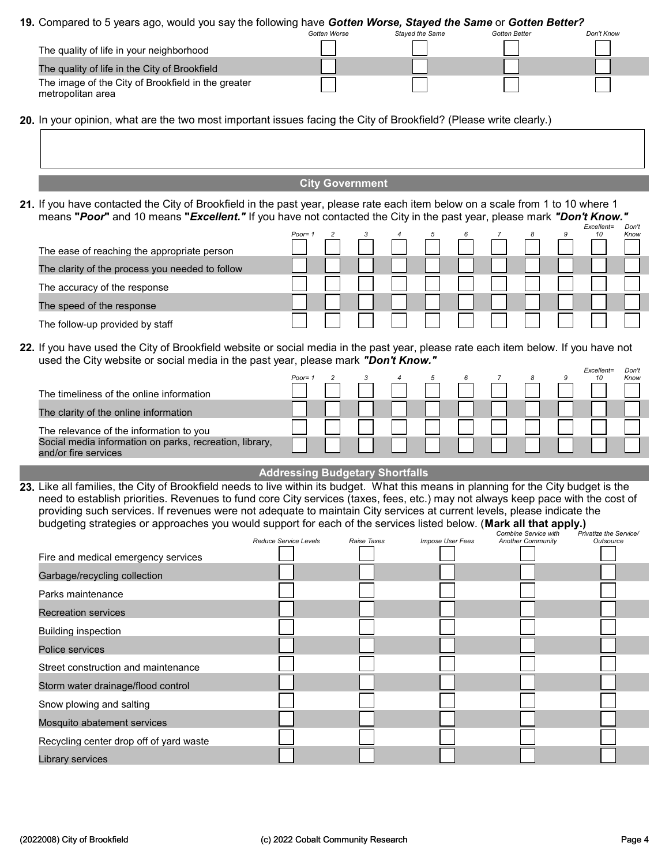## 19. Compared to 5 years ago, would you say the following have Gotten Worse, Stayed the Same or Gotten Better?

|                                                                         | Gotten Worse | <b>Staved the Same</b> | Gotten Better | Don't Know |
|-------------------------------------------------------------------------|--------------|------------------------|---------------|------------|
| The quality of life in your neighborhood                                |              |                        |               |            |
| The quality of life in the City of Brookfield                           |              |                        |               |            |
| The image of the City of Brookfield in the greater<br>metropolitan area |              |                        |               |            |

- 20. In your opinion, what are the two most important issues facing the City of Brookfield? (Please write clearly.)
	- City Government
- 21. If you have contacted the City of Brookfield in the past year, please rate each item below on a scale from 1 to 10 where 1 means "Poor" and 10 means "Excellent." If you have not contacted the City in the past year, please mark "Don't Know."

|                                                 | $Poor = 1$ |  | 4 | 5 |  | 8 | Excellent=<br>10 | Don't<br>Know |
|-------------------------------------------------|------------|--|---|---|--|---|------------------|---------------|
| The ease of reaching the appropriate person     |            |  |   |   |  |   |                  |               |
| The clarity of the process you needed to follow |            |  |   |   |  |   |                  |               |
| The accuracy of the response                    |            |  |   |   |  |   |                  |               |
| The speed of the response                       |            |  |   |   |  |   |                  |               |
| The follow-up provided by staff                 |            |  |   |   |  |   |                  |               |

22. If you have used the City of Brookfield website or social media in the past year, please rate each item below. If you have not used the City website or social media in the past year, please mark "Don't Know."

|                                                                                 | Poor= $1$ |  |  |  |  | Excellent=<br>10 | Don't<br>Know |
|---------------------------------------------------------------------------------|-----------|--|--|--|--|------------------|---------------|
| The timeliness of the online information                                        |           |  |  |  |  |                  |               |
| The clarity of the online information                                           |           |  |  |  |  |                  |               |
| The relevance of the information to you                                         |           |  |  |  |  |                  |               |
| Social media information on parks, recreation, library,<br>and/or fire services |           |  |  |  |  |                  |               |

## Addressing Budgetary Shortfalls

23. Like all families, the City of Brookfield needs to live within its budget. What this means in planning for the City budget is the need to establish priorities. Revenues to fund core City services (taxes, fees, etc.) may not always keep pace with the cost of providing such services. If revenues were not adequate to maintain City services at current levels, please indicate the budgeting strategies or approaches you would support for each of the services listed below. (Mark all that apply.)

|                                         |                              |             |                  | Combine Service with     | Privatize the Service/ |
|-----------------------------------------|------------------------------|-------------|------------------|--------------------------|------------------------|
|                                         | <b>Reduce Service Levels</b> | Raise Taxes | Impose User Fees | <b>Another Community</b> | Outsource              |
| Fire and medical emergency services     |                              |             |                  |                          |                        |
| Garbage/recycling collection            |                              |             |                  |                          |                        |
| Parks maintenance                       |                              |             |                  |                          |                        |
| <b>Recreation services</b>              |                              |             |                  |                          |                        |
| <b>Building inspection</b>              |                              |             |                  |                          |                        |
| Police services                         |                              |             |                  |                          |                        |
| Street construction and maintenance     |                              |             |                  |                          |                        |
| Storm water drainage/flood control      |                              |             |                  |                          |                        |
| Snow plowing and salting                |                              |             |                  |                          |                        |
| Mosquito abatement services             |                              |             |                  |                          |                        |
| Recycling center drop off of yard waste |                              |             |                  |                          |                        |
| Library services                        |                              |             |                  |                          |                        |